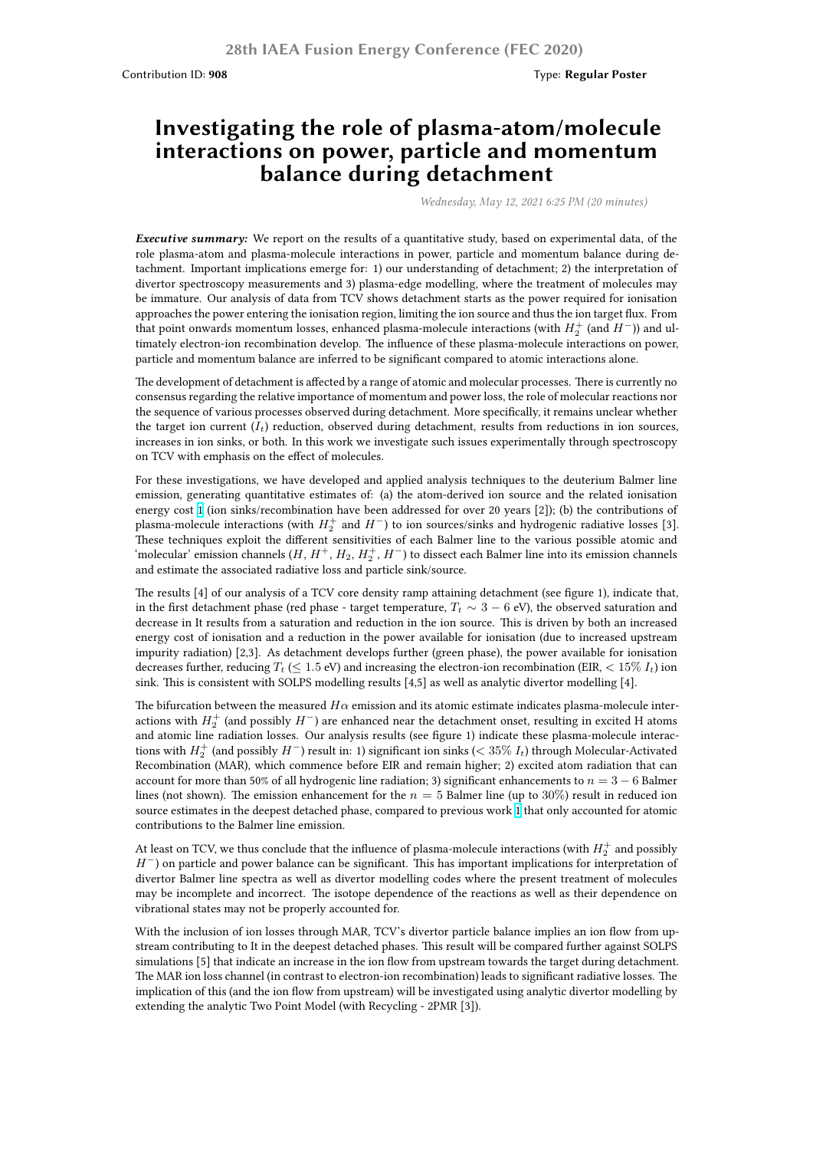## **Investigating the role of plasma-atom/molecule interactions on power, particle and momentum balance during detachment**

*Wednesday, May 12, 2021 6:25 PM (20 minutes)*

*Executive summary:* We report on the results of a quantitative study, based on experimental data, of the role plasma-atom and plasma-molecule interactions in power, particle and momentum balance during detachment. Important implications emerge for: 1) our understanding of detachment; 2) the interpretation of divertor spectroscopy measurements and 3) plasma-edge modelling, where the treatment of molecules may be immature. Our analysis of data from TCV shows detachment starts as the power required for ionisation approaches the power entering the ionisation region, limiting the ion source and thus the ion target flux. From that point onwards momentum losses, enhanced plasma-molecule interactions (with  $H_2^+$  (and  $H^-$ )) and ultimately electron-ion recombination develop. The influence of these plasma-molecule interactions on power, particle and momentum balance are inferred to be significant compared to atomic interactions alone.

The development of detachment is affected by a range of atomic and molecular processes. There is currently no consensus regarding the relative importance of momentum and power loss, the role of molecular reactions nor the sequence of various processes observed during detachment. More specifically, it remains unclear whether the target ion current  $(I_t)$  reduction, observed during detachment, results from reductions in ion sources, increases in ion sinks, or both. In this work we investigate such issues experimentally through spectroscopy on TCV with emphasis on the effect of molecules.

For these investigations, we have developed and applied analysis techniques to the deuterium Balmer line emission, generating quantitative estimates of: (a) the atom-derived ion source and the related ionisation energy cost 1 (ion sinks/recombination have been addressed for over 20 years [2]); (b) the contributions of plasma-molecule interactions (with  $H_2^+$  and  $H^-$ ) to ion sources/sinks and hydrogenic radiative losses [3]. These techniques exploit the different sensitivities of each Balmer line to the various possible atomic and 'molecular' emission channels ( $H$ ,  $H^+$ ,  $H_2$ ,  $H_2^+$ ,  $H^-$ ) to dissect each Balmer line into its emission channels and estimat[e t](https://nucleus.iaea.org/sites/fusionportal/Shared%20Documents/FEC%202020%20Images/908/Fig1_Verhaegh.png)he associated radiative loss and particle sink/source.

The results [4] of our analysis of a TCV core density ramp attaining detachment (see figure 1), indicate that, in the first detachment phase (red phase - target temperature,  $T_t \sim 3 - 6$  eV), the observed saturation and decrease in It results from a saturation and reduction in the ion source. This is driven by both an increased energy cost of ionisation and a reduction in the power available for ionisation (due to increased upstream impurity radiation) [2,3]. As detachment develops further (green phase), the power available for ionisation decreases further, reducing  $T_t \leq 1.5$  eV) and increasing the electron-ion recombination (EIR,  $< 15\%$   $I_t$ ) ion sink. This is consistent with SOLPS modelling results [4,5] as well as analytic divertor modelling [4].

The bifurcation between the measured  $H\alpha$  emission and its atomic estimate indicates plasma-molecule interactions with *H* + 2 (and possibly *H−*) are enhanced near the detachment onset, resulting in excited H atoms and atomic line radiation losses. Our analysis results (see figure 1) indicate these plasma-molecule interactions with  $H_2^+$  (and possibly  $H^-$ ) result in: 1) significant ion sinks ( $< 35\%$   $I_t$ ) through Molecular-Activated Recombination (MAR), which commence before EIR and remain higher; 2) excited atom radiation that can account for more than 50% of all hydrogenic line radiation; 3) significant enhancements to *n* = 3 *−* 6 Balmer lines (not shown). The emission enhancement for the *n* = 5 Balmer line (up to 30%) result in reduced ion source estimates in the deepest detached phase, compared to previous work 1 that only accounted for atomic contributions to the Balmer line emission.

At least on TCV, we thus conclude that the influence of plasma-molecule interactions (with  $H_2^+$  and possibly *H*<sup>−</sup>) on particle and power balance can be significant. This has important implications for interpretation of divertor Balmer line spectra as well as divertor modelling codes where th[e p](https://nucleus.iaea.org/sites/fusionportal/Shared%20Documents/FEC%202020%20Images/908/Fig1_Verhaegh.png)resent treatment of molecules may be incomplete and incorrect. The isotope dependence of the reactions as well as their dependence on vibrational states may not be properly accounted for.

With the inclusion of ion losses through MAR, TCV's divertor particle balance implies an ion flow from upstream contributing to It in the deepest detached phases. This result will be compared further against SOLPS simulations [5] that indicate an increase in the ion flow from upstream towards the target during detachment. The MAR ion loss channel (in contrast to electron-ion recombination) leads to significant radiative losses. The implication of this (and the ion flow from upstream) will be investigated using analytic divertor modelling by extending the analytic Two Point Model (with Recycling - 2PMR [3]).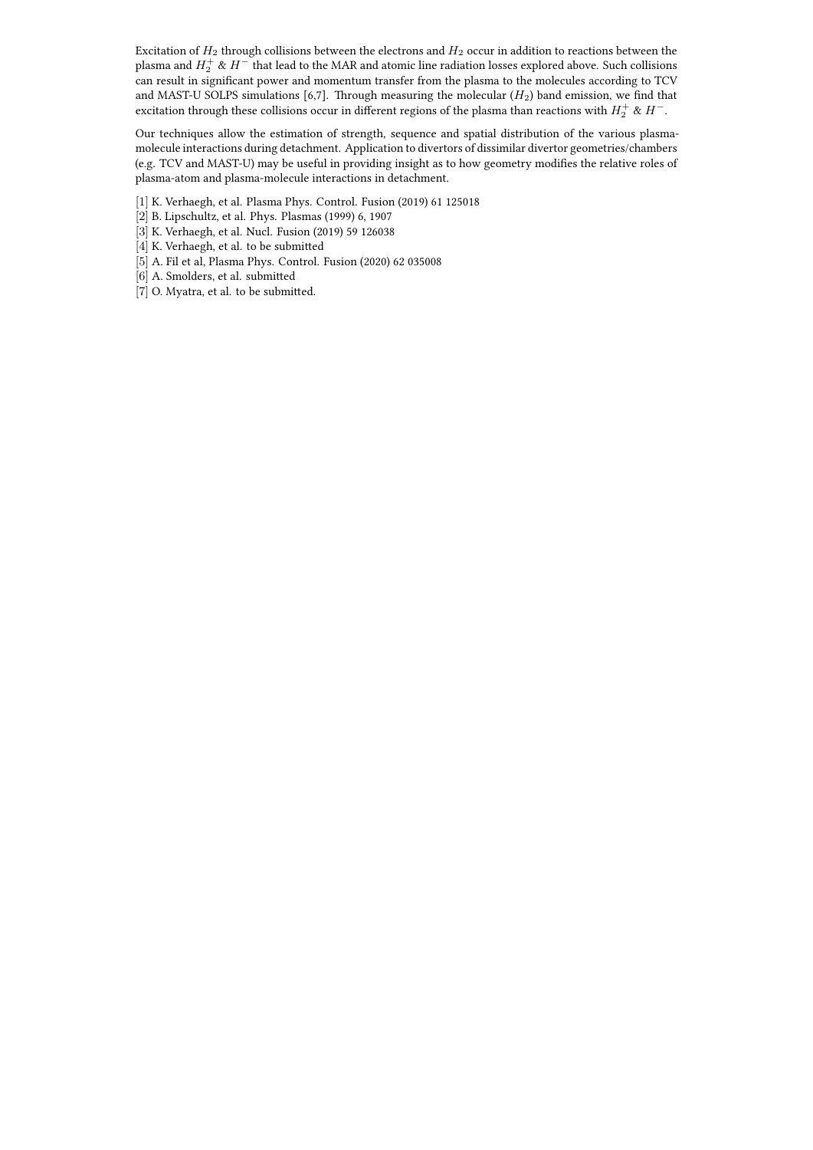Excitation of *H*<sup>2</sup> through collisions between the electrons and *H*<sup>2</sup> occur in addition to reactions between the plasma and  $H_2^+ \ \& \ H^-$  that lead to the MAR and atomic line radiation losses explored above. Such collisions can result in significant power and momentum transfer from the plasma to the molecules according to TCV and MAST-U SOLPS simulations [6,7]. Through measuring the molecular (*H*2) band emission, we find that excitation through these collisions occur in different regions of the plasma than reactions with  $H_2^+$  &  $H^-$ .

Our techniques allow the estimation of strength, sequence and spatial distribution of the various plasmamolecule interactions during detachment. Application to divertors of dissimilar divertor geometries/chambers (e.g. TCV and MAST-U) may be useful in providing insight as to how geometry modifies the relative roles of plasma-atom and plasma-molecule interactions in detachment.

- [1] K. Verhaegh, et al. Plasma Phys. Control. Fusion (2019) 61 125018
- [2] B. Lipschultz, et al. Phys. Plasmas (1999) 6, 1907
- [3] K. Verhaegh, et al. Nucl. Fusion (2019) 59 126038
- [4] K. Verhaegh, et al. to be submitted
- [5] A. Fil et al, Plasma Phys. Control. Fusion (2020) 62 035008
- [6] A. Smolders, et al. submitted
- [7] O. Myatra, et al. to be submitted.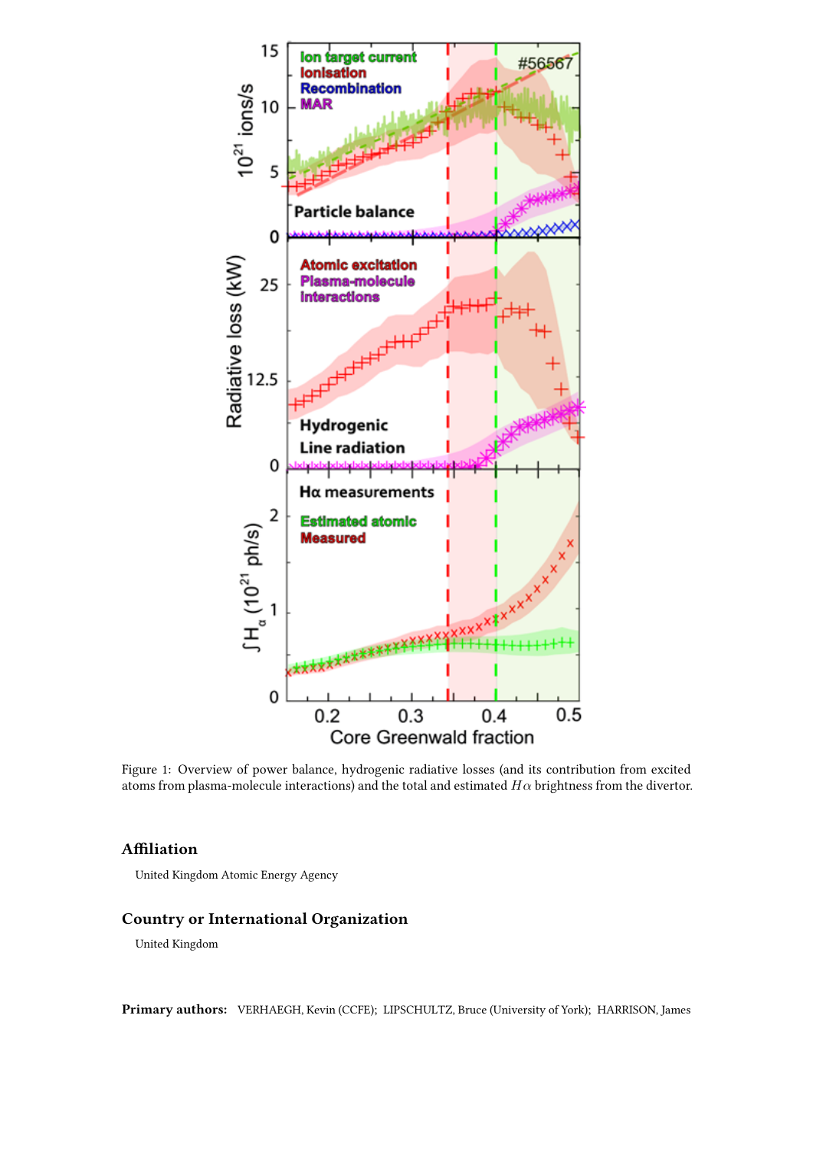

Figure 1: Overview of power balance, hydrogenic radiative losses (and its contribution from excited atoms from plasma-molecule interactions) and the total and estimated *Hα* brightness from the divertor.

## **Affiliation**

United Kingdom Atomic Energy Agency

## **Country or International Organization**

United Kingdom

**Primary authors:** VERHAEGH, Kevin (CCFE); LIPSCHULTZ, Bruce (University of York); HARRISON, James